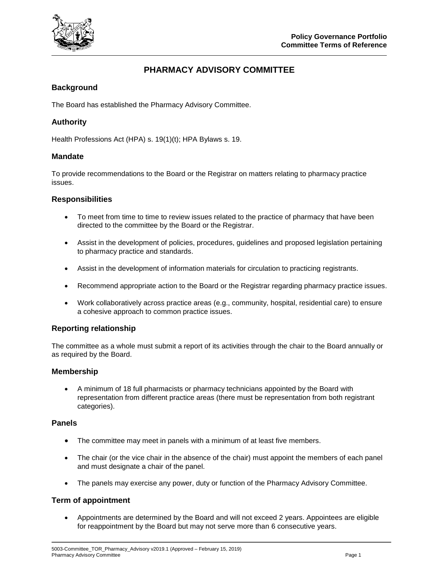

# **PHARMACY ADVISORY COMMITTEE**

## **Background**

The Board has established the Pharmacy Advisory Committee.

## **Authority**

Health Professions Act (HPA) s. 19(1)(t); HPA Bylaws s. 19.

#### **Mandate**

To provide recommendations to the Board or the Registrar on matters relating to pharmacy practice issues.

#### **Responsibilities**

- To meet from time to time to review issues related to the practice of pharmacy that have been directed to the committee by the Board or the Registrar.
- Assist in the development of policies, procedures, guidelines and proposed legislation pertaining to pharmacy practice and standards.
- Assist in the development of information materials for circulation to practicing registrants.
- Recommend appropriate action to the Board or the Registrar regarding pharmacy practice issues.
- Work collaboratively across practice areas (e.g., community, hospital, residential care) to ensure a cohesive approach to common practice issues.

#### **Reporting relationship**

The committee as a whole must submit a report of its activities through the chair to the Board annually or as required by the Board.

#### **Membership**

 A minimum of 18 full pharmacists or pharmacy technicians appointed by the Board with representation from different practice areas (there must be representation from both registrant categories).

#### **Panels**

- The committee may meet in panels with a minimum of at least five members.
- The chair (or the vice chair in the absence of the chair) must appoint the members of each panel and must designate a chair of the panel.
- The panels may exercise any power, duty or function of the Pharmacy Advisory Committee.

#### **Term of appointment**

 Appointments are determined by the Board and will not exceed 2 years. Appointees are eligible for reappointment by the Board but may not serve more than 6 consecutive years.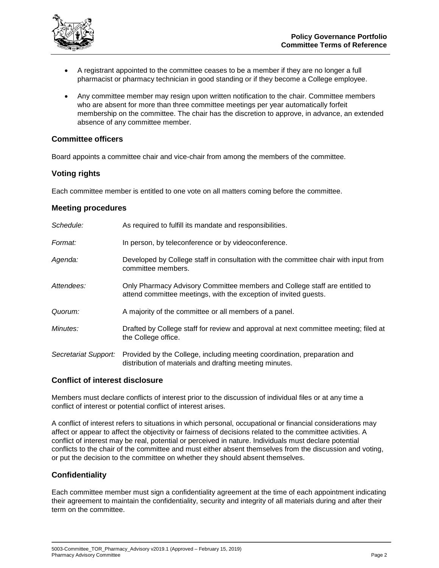

- A registrant appointed to the committee ceases to be a member if they are no longer a full pharmacist or pharmacy technician in good standing or if they become a College employee.
- Any committee member may resign upon written notification to the chair. Committee members who are absent for more than three committee meetings per year automatically forfeit membership on the committee. The chair has the discretion to approve, in advance, an extended absence of any committee member.

#### **Committee officers**

Board appoints a committee chair and vice-chair from among the members of the committee.

#### **Voting rights**

Each committee member is entitled to one vote on all matters coming before the committee.

#### **Meeting procedures**

| Schedule:            | As required to fulfill its mandate and responsibilities.                                                                                       |
|----------------------|------------------------------------------------------------------------------------------------------------------------------------------------|
| Format:              | In person, by teleconference or by videoconference.                                                                                            |
| Agenda:              | Developed by College staff in consultation with the committee chair with input from<br>committee members.                                      |
| Attendees:           | Only Pharmacy Advisory Committee members and College staff are entitled to<br>attend committee meetings, with the exception of invited guests. |
| Quorum:              | A majority of the committee or all members of a panel.                                                                                         |
| Minutes:             | Drafted by College staff for review and approval at next committee meeting; filed at<br>the College office.                                    |
| Secretariat Support: | Provided by the College, including meeting coordination, preparation and<br>distribution of materials and drafting meeting minutes.            |

## **Conflict of interest disclosure**

Members must declare conflicts of interest prior to the discussion of individual files or at any time a conflict of interest or potential conflict of interest arises.

A conflict of interest refers to situations in which personal, occupational or financial considerations may affect or appear to affect the objectivity or fairness of decisions related to the committee activities. A conflict of interest may be real, potential or perceived in nature. Individuals must declare potential conflicts to the chair of the committee and must either absent themselves from the discussion and voting, or put the decision to the committee on whether they should absent themselves.

#### **Confidentiality**

Each committee member must sign a confidentiality agreement at the time of each appointment indicating their agreement to maintain the confidentiality, security and integrity of all materials during and after their term on the committee.